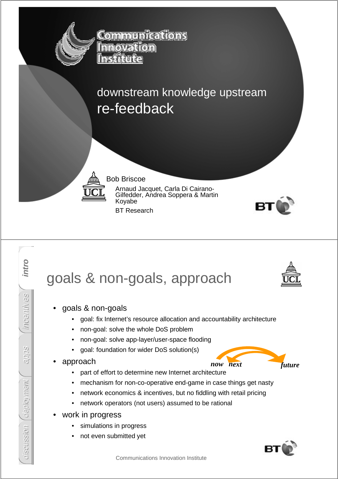

<u> Communications</u> **Innovation** 

downstream knowledge upstream re-feedback



#### Bob Briscoe

Arnaud Jacquet, Carla Di Cairano-Gilfedder, Andrea Soppera & Martin Koyabe

BT Research



#### intro discussion **intro** goals & non-goals, approach incentives • goals & non-goals • goal: fix Internet's resource allocation and accountability architecture • non-goal: solve the whole DoS problem • non-goal: solve app-layer/user-space flooding apps • goal: foundation for wider DoS solution(s) • approach *now next future*• part of effort to determine new Internet architecture deployment deployment • mechanism for non-co-operative end-game in case things get nasty • network economics & incentives, but no fiddling with retail pricing • network operators (not users) assumed to be rational work in progress discussion simulations in progress not even submitted yet

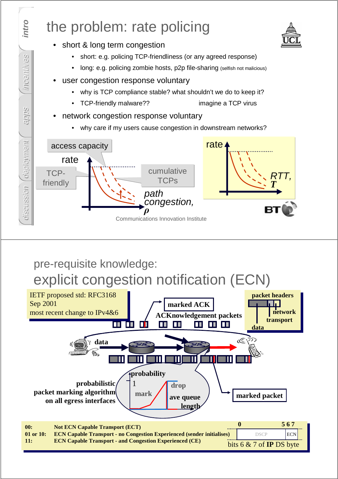

### pre-requisite knowledge: explicit congestion notification (ECN)

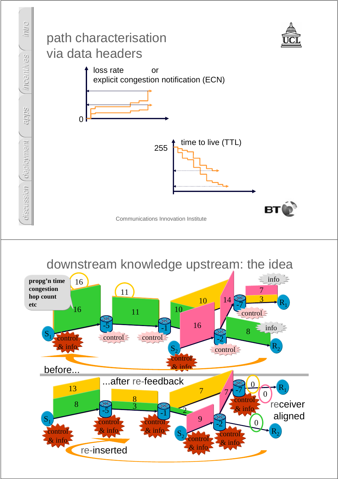

downstream knowledge upstream: the idea

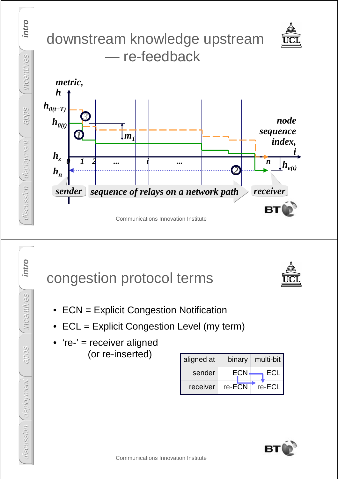

# congestion protocol terms



- ECN = Explicit Congestion Notification
- ECL = Explicit Congestion Level (my term)
- 're-' = receiver aligned (or re-inserted)

intro

incentives

apps

discussion **intro**

deployment

discussion (deployment

| aligned at | binary | multi-bit |
|------------|--------|-----------|
| sender     | ECN    | ECI       |
| receiver   | re-ECN | re-ECL    |

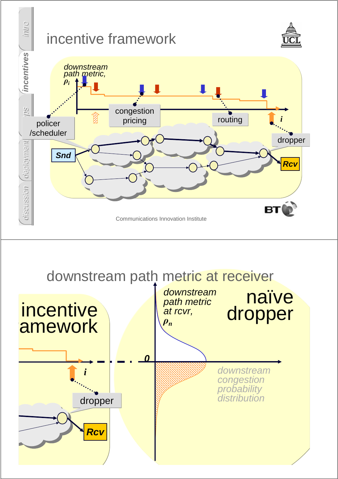

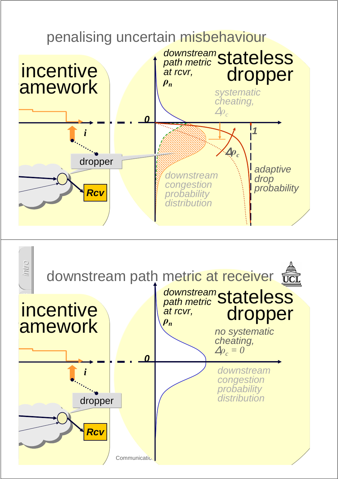#### incentive amework penalising uncertain misbehaviour downstream congestion probability distribution **0** adaptive drop probability **1** systematic cheating,  $\Delta \rho$ <sub>c</sub> <sup>∆</sup>ρ*<sup>c</sup>* downstream<br>path metric Stateless dropper *i* **Rcv** dropper path metric at rcvr, ρ*n*

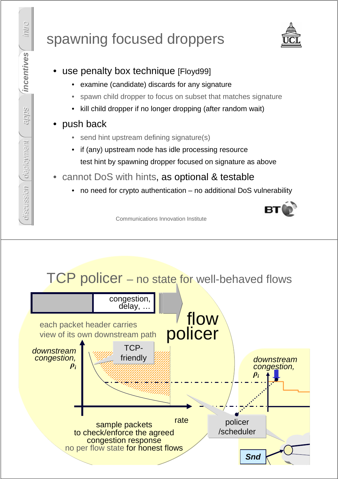# spawning focused droppers



- use penalty box technique [Floyd99]
	- examine (candidate) discards for any signature
	- spawn child dropper to focus on subset that matches signature
	- kill child dropper if no longer dropping (after random wait)

### push back

- send hint upstream defining signature(s)
- if (any) upstream node has idle processing resource test hint by spawning dropper focused on signature as above
- cannot DoS with hints, as optional & testable
	- no need for crypto authentication no additional DoS vulnerability

Communications Innovation Institute

## TCP policer – no state for well-behaved flows



apps

deployment

*ceployment* 

discussion |

discussion *[deployment | apps* | incentives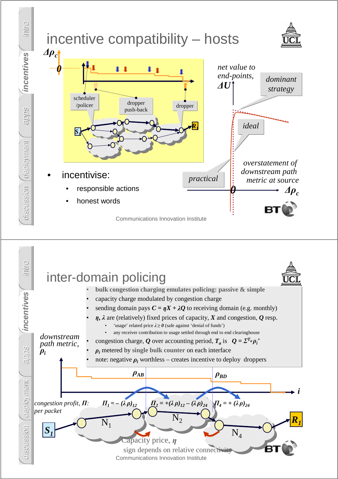

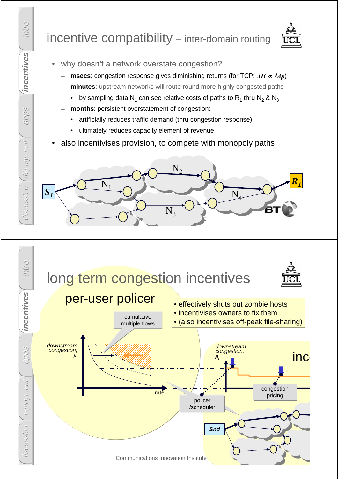## incentive compatibility – inter-domain routing



- why doesn't a network overstate congestion?
	- **msecs**: congestion response gives diminishing returns (for TCP:  $\Delta \Pi \propto \sqrt{\Delta \rho}$ )
	- **minutes**: upstream networks will route round more highly congested paths
		- by sampling data N<sub>1</sub> can see relative costs of paths to R<sub>1</sub> thru N<sub>2</sub> & N<sub>3</sub>
	- **months**: persistent overstatement of congestion:
		- artificially reduces traffic demand (thru congestion response)
		- ultimately reduces capacity element of revenue
- also incentivises provision, to compete with monopoly paths





intro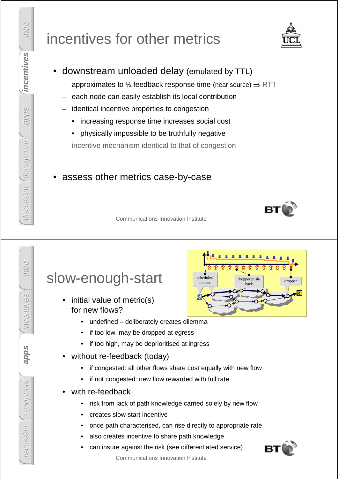## incentives for other metrics

- downstream unloaded delay (emulated by TTL)
	- approximates to ½ feedback response time (near source)  $\Rightarrow$  RTT
	- each node can easily establish its local contribution
	- identical incentive properties to congestion
		- increasing response time increases social cost
		- physically impossible to be truthfully negative
	- incentive mechanism identical to that of congestion

#### assess other metrics case-by-case

Communications Innovation Institute

### slow-enough-start

- initial value of metric(s) for new flows?
	- undefined deliberately creates dilemma
	- if too low, may be dropped at egress
	- if too high, may be deprioritised at ingress
- without re-feedback (today)
	- if congested: all other flows share cost equally with new flow
	- if not congested: new flow rewarded with full rate
- with re-feedback
	- risk from lack of path knowledge carried solely by new flow
	- creates slow-start incentive
	- once path characterised, can rise directly to appropriate rate
	- also creates incentive to share path knowledge
	- can insure against the risk (see differentiated service)



Communications Innovation Institute

*R1 S1* scheduler/ policer and dropper push-<br>policer hack dropper dropper pushback





intro

incentives

apps

deployment discussion **apps**

aeployment

discussion

intro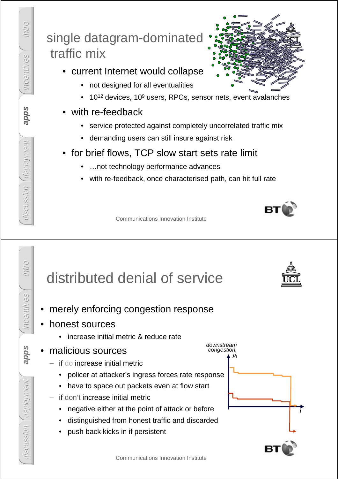## single datagram-dominated traffic mix

- current Internet would collapse
	- not designed for all eventualities
	- 10<sup>12</sup> devices, 10<sup>9</sup> users, RPCs, sensor nets, event avalanches
- with re-feedback
	- service protected against completely uncorrelated traffic mix
	- demanding users can still insure against risk
- for brief flows, TCP slow start sets rate limit
	- ...not technology performance advances
	- with re-feedback, once characterised path, can hit full rate

Communications Innovation Institute

# distributed denial of service

- merely enforcing congestion response
- honest sources
	- increase initial metric & reduce rate

#### • malicious sources

- if do increase initial metric
	- policer at attacker's ingress forces rate response
	- have to space out packets even at flow start
- if don't increase initial metric
	- negative either at the point of attack or before
	- distinguished from honest traffic and discarded
	- push back kicks in if persistent









Communications Innovation Institute

intro

incentives

apps

deployment discussion **apps**

deployment

aiscussion

apps